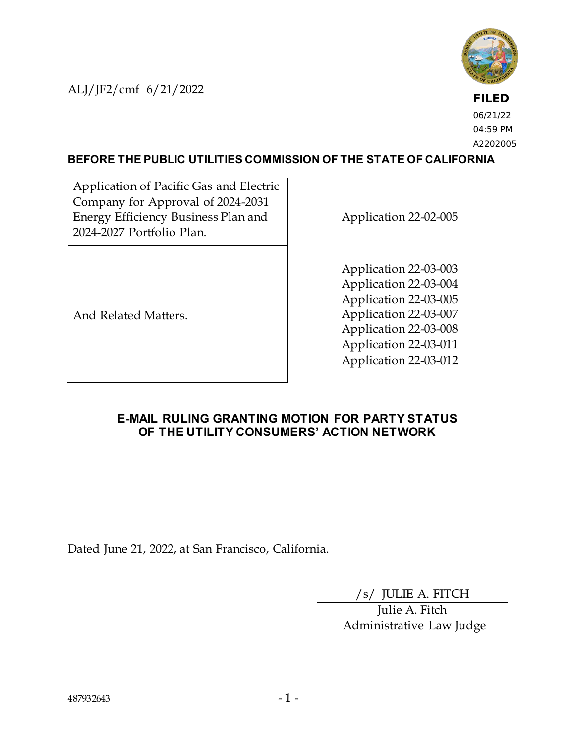ALJ/JF2/cmf 6/21/2022



**FILED** 06/21/22 04:59 PM A2202005

#### **BEFORE THE PUBLIC UTILITIES COMMISSION OF THE STATE OF CALIFORNIA**

Application of Pacific Gas and Electric Company for Approval of 2024-2031 Energy Efficiency Business Plan and 2024-2027 Portfolio Plan.

Application 22-02-005

And Related Matters.

Application 22-03-003 Application 22-03-004 Application 22-03-005 Application 22-03-007 Application 22-03-008 Application 22-03-011 Application 22-03-012

#### **E-MAIL RULING GRANTING MOTION FOR PARTY STATUS OF THE UTILITY CONSUMERS' ACTION NETWORK**

Dated June 21, 2022, at San Francisco, California.

/s/ JULIE A. FITCH

Julie A. Fitch Administrative Law Judge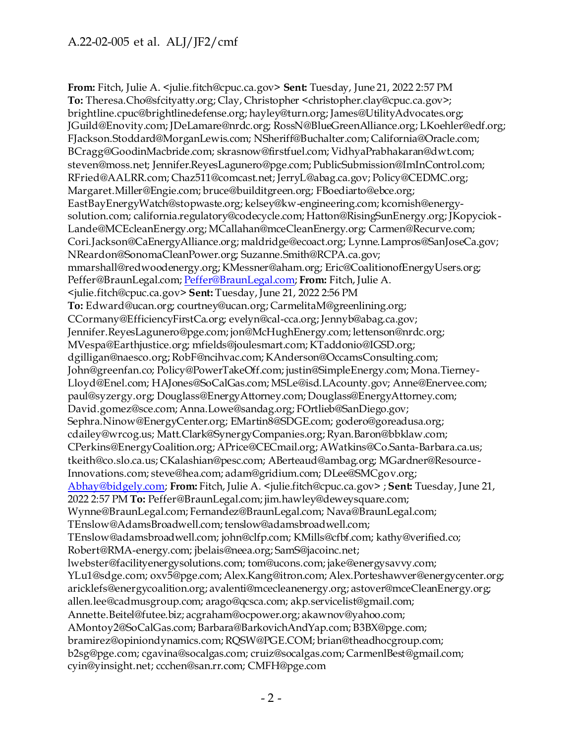**From:** Fitch, Julie A. <julie.fitch@cpuc.ca.gov> **Sent:** Tuesday, June 21, 2022 2:57 PM **To:** Theresa.Cho@sfcityatty.org; Clay, Christopher <christopher.clay@cpuc.ca.gov>; brightline.cpuc@brightlinedefense.org; hayley@turn.org; James@UtilityAdvocates.org; JGuild@Enovity.com; JDeLamare@nrdc.org; RossN@BlueGreenAlliance.org; LKoehler@edf.org; FJackson.Stoddard@MorganLewis.com; NSheriff@Buchalter.com; California@Oracle.com; BCragg@GoodinMacbride.com; skrasnow@firstfuel.com; VidhyaPrabhakaran@dwt.com; steven@moss.net; Jennifer.ReyesLagunero@pge.com; PublicSubmission@ImInControl.com; RFried@AALRR.com; Chaz511@comcast.net; JerryL@abag.ca.gov; Policy@CEDMC.org; Margaret.Miller@Engie.com; bruce@builditgreen.org; FBoediarto@ebce.org; EastBayEnergyWatch@stopwaste.org; kelsey@kw-engineering.com; kcornish@energysolution.com; california.regulatory@codecycle.com; Hatton@RisingSunEnergy.org; JKopyciok-Lande@MCEcleanEnergy.org; MCallahan@mceCleanEnergy.org; Carmen@Recurve.com; Cori.Jackson@CaEnergyAlliance.org; maldridge@ecoact.org; Lynne.Lampros@SanJoseCa.gov; NReardon@SonomaCleanPower.org; Suzanne.Smith@RCPA.ca.gov; mmarshall@redwoodenergy.org; KMessner@aham.org; Eric@CoalitionofEnergyUsers.org; Peffer@BraunLegal.com[; Peffer@BraunLegal.com](mailto:Peffer@BraunLegal.com); **From:** Fitch, Julie A. <julie.fitch@cpuc.ca.gov> **Sent:** Tuesday, June 21, 2022 2:56 PM **To:** Edward@ucan.org; courtney@ucan.org; CarmelitaM@greenlining.org; CCormany@EfficiencyFirstCa.org; evelyn@cal-cca.org; Jennyb@abag.ca.gov; Jennifer.ReyesLagunero@pge.com; jon@McHughEnergy.com; lettenson@nrdc.org; MVespa@Earthjustice.org; mfields@joulesmart.com; KTaddonio@IGSD.org; dgilligan@naesco.org; RobF@ncihvac.com; KAnderson@OccamsConsulting.com; John@greenfan.co; Policy@PowerTakeOff.com; justin@SimpleEnergy.com; Mona.Tierney-Lloyd@Enel.com; HAJones@SoCalGas.com; MSLe@isd.LAcounty.gov; Anne@Enervee.com; paul@syzergy.org; Douglass@EnergyAttorney.com; Douglass@EnergyAttorney.com; David.gomez@sce.com; Anna.Lowe@sandag.org; FOrtlieb@SanDiego.gov; Sephra.Ninow@EnergyCenter.org; EMartin8@SDGE.com; godero@goreadusa.org; cdailey@wrcog.us; Matt.Clark@SynergyCompanies.org; Ryan.Baron@bbklaw.com; CPerkins@EnergyCoalition.org; APrice@CECmail.org; AWatkins@Co.Santa-Barbara.ca.us; tkeith@co.slo.ca.us; CKalashian@pesc.com; ABerteaud@ambag.org; MGardner@Resource-Innovations.com; steve@hea.com; adam@gridium.com; DLee@SMCgov.org; [Abhay@bidgely.com](mailto:Abhay@bidgely.com); **From:** Fitch, Julie A. <julie.fitch@cpuc.ca.gov> ; **Sent:** Tuesday, June 21, 2022 2:57 PM **To:** Peffer@BraunLegal.com; jim.hawley@deweysquare.com; Wynne@BraunLegal.com; Fernandez@BraunLegal.com; Nava@BraunLegal.com; TEnslow@AdamsBroadwell.com; tenslow@adamsbroadwell.com; TEnslow@adamsbroadwell.com; john@clfp.com; KMills@cfbf.com; kathy@verified.co; Robert@RMA-energy.com; jbelais@neea.org; SamS@jacoinc.net; lwebster@facilityenergysolutions.com; tom@ucons.com; jake@energysavvy.com; YLu1@sdge.com; oxv5@pge.com; Alex.Kang@itron.com; Alex.Porteshawver@energycenter.org; aricklefs@energycoalition.org; avalenti@mcecleanenergy.org; astover@mceCleanEnergy.org; allen.lee@cadmusgroup.com; arago@qcsca.com; akp.servicelist@gmail.com; Annette.Beitel@futee.biz; acgraham@ocpower.org; akawnov@yahoo.com; AMontoy2@SoCalGas.com; Barbara@BarkovichAndYap.com; B3BX@pge.com; bramirez@opiniondynamics.com; RQSW@PGE.COM; brian@theadhocgroup.com; b2sg@pge.com; cgavina@socalgas.com; cruiz@socalgas.com; CarmenlBest@gmail.com; cyin@yinsight.net; ccchen@san.rr.com; CMFH@pge.com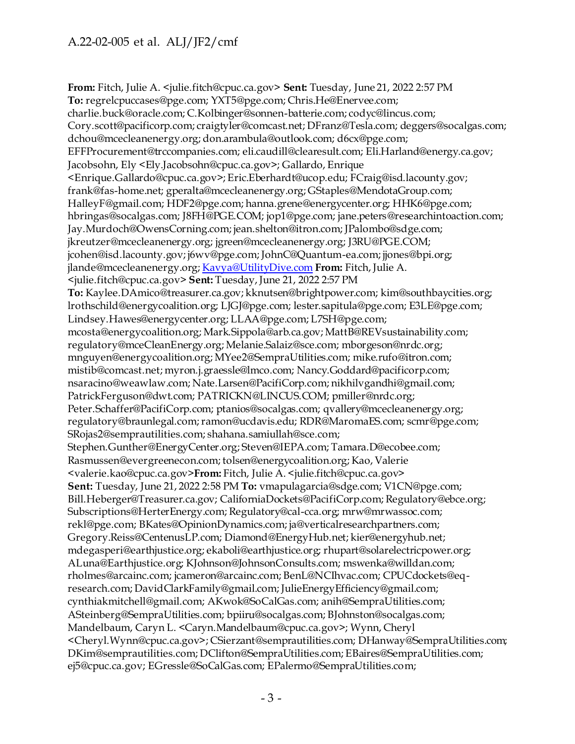**From:** Fitch, Julie A. <julie.fitch@cpuc.ca.gov> **Sent:** Tuesday, June 21, 2022 2:57 PM **To:** regrelcpuccases@pge.com; YXT5@pge.com; Chris.He@Enervee.com; charlie.buck@oracle.com; C.Kolbinger@sonnen-batterie.com; codyc@lincus.com; Cory.scott@pacificorp.com; craigtyler@comcast.net; DFranz@Tesla.com; deggers@socalgas.com; dchou@mcecleanenergy.org; don.arambula@outlook.com; d6cx@pge.com; EFFProcurement@trccompanies.com; eli.caudill@clearesult.com; Eli.Harland@energy.ca.gov; Jacobsohn, Ely <Ely.Jacobsohn@cpuc.ca.gov>; Gallardo, Enrique <Enrique.Gallardo@cpuc.ca.gov>; Eric.Eberhardt@ucop.edu; FCraig@isd.lacounty.gov; frank@fas-home.net; gperalta@mcecleanenergy.org; GStaples@MendotaGroup.com; HalleyF@gmail.com; HDF2@pge.com; hanna.grene@energycenter.org; HHK6@pge.com; hbringas@socalgas.com; J8FH@PGE.COM; jop1@pge.com; jane.peters@researchintoaction.com; Jay.Murdoch@OwensCorning.com; jean.shelton@itron.com; JPalombo@sdge.com; jkreutzer@mcecleanenergy.org; jgreen@mcecleanenergy.org; J3RU@PGE.COM; jcohen@isd.lacounty.gov; j6wv@pge.com; JohnC@Quantum-ea.com; jjones@bpi.org; jlande@mcecleanenergy.org[; Kavya@UtilityDive.com](mailto:Kavya@UtilityDive.com) **From:** Fitch, Julie A. <julie.fitch@cpuc.ca.gov> **Sent:** Tuesday, June 21, 2022 2:57 PM **To:** Kaylee.DAmico@treasurer.ca.gov; kknutsen@brightpower.com; kim@southbaycities.org; lrothschild@energycoalition.org; LJGJ@pge.com; lester.sapitula@pge.com; E3LE@pge.com; Lindsey.Hawes@energycenter.org; LLAA@pge.com; L7SH@pge.com; mcosta@energycoalition.org; Mark.Sippola@arb.ca.gov; MattB@REVsustainability.com; regulatory@mceCleanEnergy.org; Melanie.Salaiz@sce.com; mborgeson@nrdc.org; mnguyen@energycoalition.org; MYee2@SempraUtilities.com; mike.rufo@itron.com; mistib@comcast.net; myron.j.graessle@lmco.com; Nancy.Goddard@pacificorp.com; nsaracino@weawlaw.com; Nate.Larsen@PacifiCorp.com; nikhilvgandhi@gmail.com; PatrickFerguson@dwt.com; PATRICKN@LINCUS.COM; pmiller@nrdc.org; Peter.Schaffer@PacifiCorp.com; ptanios@socalgas.com; qvallery@mcecleanenergy.org; regulatory@braunlegal.com; ramon@ucdavis.edu; RDR@MaromaES.com; scmr@pge.com; SRojas2@semprautilities.com; shahana.samiullah@sce.com; Stephen.Gunther@EnergyCenter.org; Steven@IEPA.com; Tamara.D@ecobee.com; Rasmussen@evergreenecon.com; tolsen@energycoalition.org; Kao, Valerie <valerie.kao@cpuc.ca.gov>**From:** Fitch, Julie A. <julie.fitch@cpuc.ca.gov> **Sent:** Tuesday, June 21, 2022 2:58 PM **To:** vmapulagarcia@sdge.com; V1CN@pge.com; Bill.Heberger@Treasurer.ca.gov; CaliforniaDockets@PacifiCorp.com; Regulatory@ebce.org; Subscriptions@HerterEnergy.com; Regulatory@cal-cca.org; mrw@mrwassoc.com; rekl@pge.com; BKates@OpinionDynamics.com; ja@verticalresearchpartners.com; Gregory.Reiss@CentenusLP.com; Diamond@EnergyHub.net; kier@energyhub.net; mdegasperi@earthjustice.org; ekaboli@earthjustice.org; rhupart@solarelectricpower.org; ALuna@Earthjustice.org; KJohnson@JohnsonConsults.com; mswenka@willdan.com; rholmes@arcainc.com; jcameron@arcainc.com; BenL@NCIhvac.com; CPUCdockets@eqresearch.com; DavidClarkFamily@gmail.com; JulieEnergyEfficiency@gmail.com; cynthiakmitchell@gmail.com; AKwok@SoCalGas.com; anih@SempraUtilities.com; ASteinberg@SempraUtilities.com; bpiiru@socalgas.com; BJohnston@socalgas.com; Mandelbaum, Caryn L. <Caryn.Mandelbaum@cpuc.ca.gov>; Wynn, Cheryl <Cheryl.Wynn@cpuc.ca.gov>; CSierzant@semprautilities.com; DHanway@SempraUtilities.com; DKim@semprautilities.com; DClifton@SempraUtilities.com; EBaires@SempraUtilities.com; ej5@cpuc.ca.gov; EGressle@SoCalGas.com; EPalermo@SempraUtilities.com;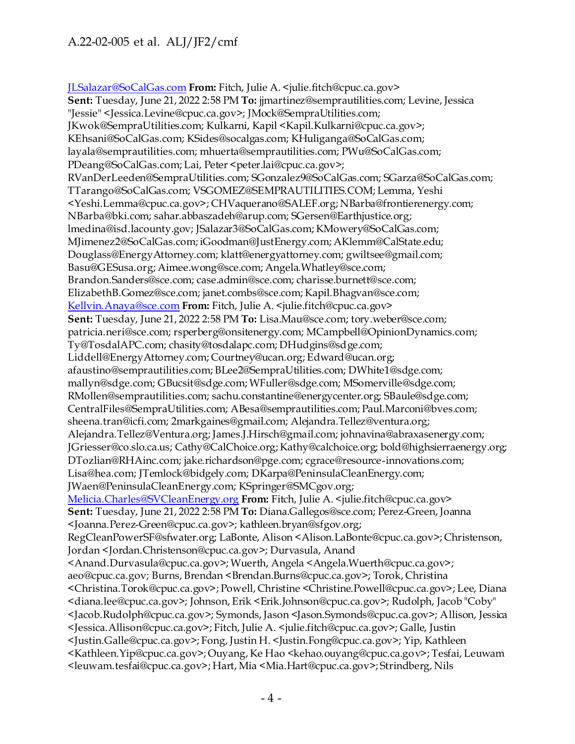[JLSalazar@SoCalGas.com](mailto:JLSalazar@SoCalGas.com) **From:** Fitch, Julie A. <julie.fitch@cpuc.ca.gov> **Sent:** Tuesday, June 21, 2022 2:58 PM **To:** jjmartinez@semprautilities.com; Levine, Jessica "Jessie" <Jessica.Levine@cpuc.ca.gov>; JMock@SempraUtilities.com; JKwok@SempraUtilities.com; Kulkarni, Kapil <Kapil.Kulkarni@cpuc.ca.gov>; KEhsani@SoCalGas.com; KSides@socalgas.com; KHuliganga@SoCalGas.com; layala@semprautilities.com; mhuerta@semprautilities.com; PWu@SoCalGas.com; PDeang@SoCalGas.com; Lai, Peter <peter.lai@cpuc.ca.gov>; RVanDerLeeden@SempraUtilities.com; SGonzalez9@SoCalGas.com; SGarza@SoCalGas.com; TTarango@SoCalGas.com; VSGOMEZ@SEMPRAUTILITIES.COM; Lemma, Yeshi <Yeshi.Lemma@cpuc.ca.gov>; CHVaquerano@SALEF.org; NBarba@frontierenergy.com; NBarba@bki.com; sahar.abbaszadeh@arup.com; SGersen@Earthjustice.org; lmedina@isd.lacounty.gov; JSalazar3@SoCalGas.com; KMowery@SoCalGas.com; MJimenez2@SoCalGas.com; iGoodman@JustEnergy.com; AKlemm@CalState.edu; Douglass@EnergyAttorney.com; klatt@energyattorney.com; gwiltsee@gmail.com; Basu@GESusa.org; Aimee.wong@sce.com; Angela.Whatley@sce.com; Brandon.Sanders@sce.com; case.admin@sce.com; charisse.burnett@sce.com; ElizabethB.Gomez@sce.com; janet.combs@sce.com; Kapil.Bhagvan@sce.com; [Kellvin.Anaya@sce.com](mailto:Kellvin.Anaya@sce.com) **From:** Fitch, Julie A. <julie.fitch@cpuc.ca.gov> **Sent:** Tuesday, June 21, 2022 2:58 PM **To:** Lisa.Mau@sce.com; tory.weber@sce.com; patricia.neri@sce.com; rsperberg@onsitenergy.com; MCampbell@OpinionDynamics.com; Ty@TosdalAPC.com; chasity@tosdalapc.com; DHudgins@sdge.com; Liddell@EnergyAttorney.com; Courtney@ucan.org; Edward@ucan.org; afaustino@semprautilities.com; BLee2@SempraUtilities.com; DWhite1@sdge.com; mallyn@sdge.com; GBucsit@sdge.com; WFuller@sdge.com; MSomerville@sdge.com; RMollen@semprautilities.com; sachu.constantine@energycenter.org; SBaule@sdge.com; CentralFiles@SempraUtilities.com; ABesa@semprautilities.com; Paul.Marconi@bves.com; sheena.tran@icfi.com; 2markgaines@gmail.com; Alejandra.Tellez@ventura.org; Alejandra.Tellez@Ventura.org; James.J.Hirsch@gmail.com; johnavina@abraxasenergy.com; JGriesser@co.slo.ca.us; Cathy@CalChoice.org; Kathy@calchoice.org; bold@highsierraenergy.org; DTozlian@RHAinc.com; jake.richardson@pge.com; cgrace@resource-innovations.com; Lisa@hea.com; JTemlock@bidgely.com; DKarpa@PeninsulaCleanEnergy.com; JWaen@PeninsulaCleanEnergy.com; KSpringer@SMCgov.org; [Melicia.Charles@SVCleanEnergy.org](mailto:Melicia.Charles@SVCleanEnergy.org) **From:** Fitch, Julie A. <julie.fitch@cpuc.ca.gov> **Sent:** Tuesday, June 21, 2022 2:58 PM **To:** Diana.Gallegos@sce.com; Perez-Green, Joanna <Joanna.Perez-Green@cpuc.ca.gov>; kathleen.bryan@sfgov.org; RegCleanPowerSF@sfwater.org; LaBonte, Alison <Alison.LaBonte@cpuc.ca.gov>; Christenson, Jordan <Jordan.Christenson@cpuc.ca.gov>; Durvasula, Anand <Anand.Durvasula@cpuc.ca.gov>; Wuerth, Angela <Angela.Wuerth@cpuc.ca.gov>; aeo@cpuc.ca.gov; Burns, Brendan <Brendan.Burns@cpuc.ca.gov>; Torok, Christina <Christina.Torok@cpuc.ca.gov>; Powell, Christine <Christine.Powell@cpuc.ca.gov>; Lee, Diana <diana.lee@cpuc.ca.gov>; Johnson, Erik <Erik.Johnson@cpuc.ca.gov>; Rudolph, Jacob "Coby" <Jacob.Rudolph@cpuc.ca.gov>; Symonds, Jason <Jason.Symonds@cpuc.ca.gov>; Allison, Jessica <Jessica.Allison@cpuc.ca.gov>; Fitch, Julie A. <julie.fitch@cpuc.ca.gov>; Galle, Justin <Justin.Galle@cpuc.ca.gov>; Fong, Justin H. <Justin.Fong@cpuc.ca.gov>; Yip, Kathleen <Kathleen.Yip@cpuc.ca.gov>; Ouyang, Ke Hao <kehao.ouyang@cpuc.ca.gov>; Tesfai, Leuwam <leuwam.tesfai@cpuc.ca.gov>; Hart, Mia <Mia.Hart@cpuc.ca.gov>; Strindberg, Nils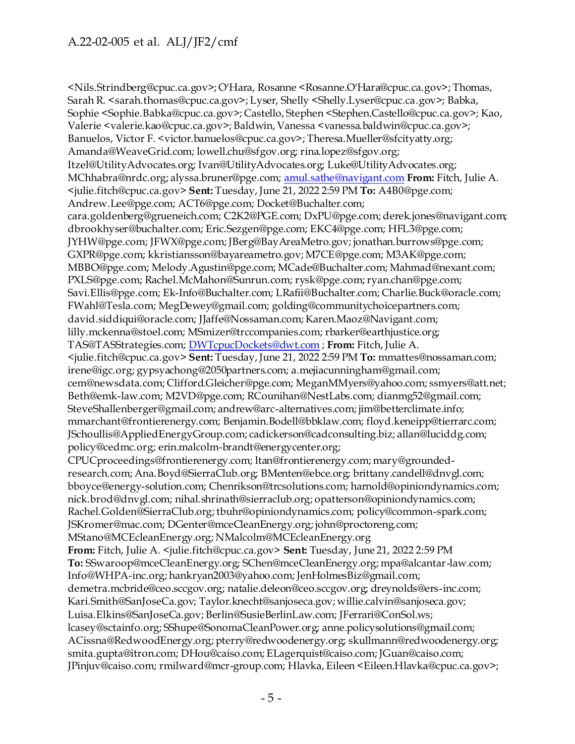<Nils.Strindberg@cpuc.ca.gov>; O'Hara, Rosanne <Rosanne.O'Hara@cpuc.ca.gov>; Thomas, Sarah R. <sarah.thomas@cpuc.ca.gov>; Lyser, Shelly <Shelly.Lyser@cpuc.ca.gov>; Babka, Sophie <Sophie.Babka@cpuc.ca.gov>; Castello, Stephen <Stephen.Castello@cpuc.ca.gov>; Kao, Valerie <valerie.kao@cpuc.ca.gov>; Baldwin, Vanessa <vanessa.baldwin@cpuc.ca.gov>; Banuelos, Victor F. <victor.banuelos@cpuc.ca.gov>; Theresa.Mueller@sfcityatty.org; Amanda@WeaveGrid.com; lowell.chu@sfgov.org; rina.lopez@sfgov.org; Itzel@UtilityAdvocates.org; Ivan@UtilityAdvocates.org; Luke@UtilityAdvocates.org; MChhabra@nrdc.org; alyssa.bruner@pge.com[; amul.sathe@navigant.com](mailto:amul.sathe@navigant.com) **From:** Fitch, Julie A. <julie.fitch@cpuc.ca.gov> **Sent:** Tuesday, June 21, 2022 2:59 PM **To:** A4B0@pge.com; Andrew.Lee@pge.com; ACT6@pge.com; Docket@Buchalter.com; cara.goldenberg@grueneich.com; C2K2@PGE.com; DxPU@pge.com; derek.jones@navigant.com; dbrookhyser@buchalter.com; Eric.Sezgen@pge.com; EKC4@pge.com; HFL3@pge.com; JYHW@pge.com; JFWX@pge.com; JBerg@BayAreaMetro.gov; jonathan.burrows@pge.com; GXPR@pge.com; kkristiansson@bayareametro.gov; M7CE@pge.com; M3AK@pge.com; MBBO@pge.com; Melody.Agustin@pge.com; MCade@Buchalter.com; Mahmad@nexant.com; PXLS@pge.com; Rachel.McMahon@Sunrun.com; rysk@pge.com; ryan.chan@pge.com; Savi.Ellis@pge.com; Ek-Info@Buchalter.com; LRafii@Buchalter.com; Charlie.Buck@oracle.com; FWahl@Tesla.com; MegDewey@gmail.com; golding@communitychoicepartners.com; david.siddiqui@oracle.com; JJaffe@Nossaman.com; Karen.Maoz@Navigant.com; lilly.mckenna@stoel.com; MSmizer@trccompanies.com; rbarker@earthjustice.org; TAS@TASStrategies.com[; DWTcpucDockets@dwt.com](mailto:DWTcpucDockets@dwt.com) ; **From:** Fitch, Julie A. <julie.fitch@cpuc.ca.gov> **Sent:** Tuesday, June 21, 2022 2:59 PM **To:** mmattes@nossaman.com; irene@igc.org; gypsyachong@2050partners.com; a.mejiacunningham@gmail.com; cem@newsdata.com; Clifford.Gleicher@pge.com; MeganMMyers@yahoo.com; ssmyers@att.net; Beth@emk-law.com; M2VD@pge.com; RCounihan@NestLabs.com; dianmg52@gmail.com; SteveShallenberger@gmail.com; andrew@arc-alternatives.com; jim@betterclimate.info; mmarchant@frontierenergy.com; Benjamin.Bodell@bbklaw.com; floyd.keneipp@tierrarc.com; JSchoullis@AppliedEnergyGroup.com; cadickerson@cadconsulting.biz; allan@luciddg.com; policy@cedmc.org; erin.malcolm-brandt@energycenter.org; CPUCproceedings@frontierenergy.com; ltan@frontierenergy.com; mary@groundedresearch.com; Ana.Boyd@SierraClub.org; BMenten@ebce.org; brittany.candell@dnvgl.com; bboyce@energy-solution.com; Chenrikson@trcsolutions.com; harnold@opiniondynamics.com; nick.brod@dnvgl.com; nihal.shrinath@sierraclub.org; opatterson@opiniondynamics.com; Rachel.Golden@SierraClub.org; tbuhr@opiniondynamics.com; policy@common-spark.com; JSKromer@mac.com; DGenter@mceCleanEnergy.org; john@proctoreng.com; MStano@MCEcleanEnergy.org; NMalcolm@MCEcleanEnergy.org **From:** Fitch, Julie A. <*julie.fitch@cpuc.ca.gov>* **Sent:** Tuesday, June 21, 2022 2:59 PM **To:** SSwaroop@mceCleanEnergy.org; SChen@mceCleanEnergy.org; mpa@alcantar-law.com; Info@WHPA-inc.org; hankryan2003@yahoo.com; JenHolmesBiz@gmail.com; demetra.mcbride@ceo.sccgov.org; natalie.deleon@ceo.sccgov.org; dreynolds@ers-inc.com; Kari.Smith@SanJoseCa.gov; Taylor.knecht@sanjoseca.gov; willie.calvin@sanjoseca.gov; Luisa.Elkins@SanJoseCa.gov; Berlin@SusieBerlinLaw.com; JFerrari@ConSol.ws; lcasey@sctainfo.org; SShupe@SonomaCleanPower.org; anne.policysolutions@gmail.com; ACissna@RedwoodEnergy.org; pterry@redwoodenergy.org; skullmann@redwoodenergy.org; smita.gupta@itron.com; DHou@caiso.com; ELagerquist@caiso.com; JGuan@caiso.com; JPinjuv@caiso.com; rmilward@mcr-group.com; Hlavka, Eileen <Eileen.Hlavka@cpuc.ca.gov>;